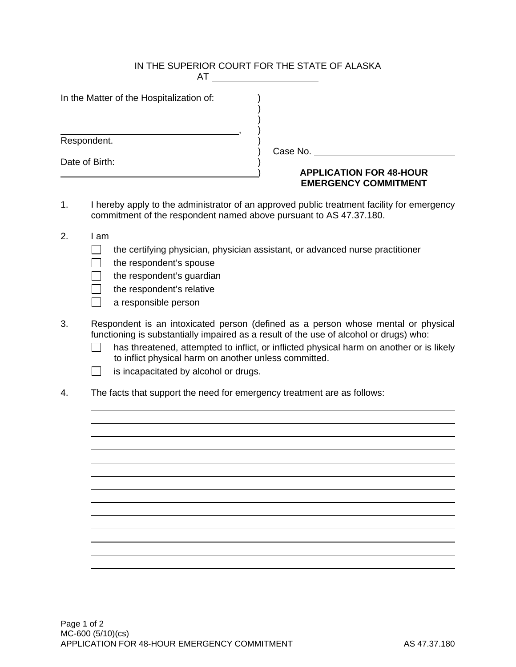|                |                                                                                                                                                                  | IN THE SUPERIOR COURT FOR THE STATE OF ALASKA<br>$AT \_\_\_\_\_\_\_\_$                                                                                                                                                                                                  |  |  |  |  |  |
|----------------|------------------------------------------------------------------------------------------------------------------------------------------------------------------|-------------------------------------------------------------------------------------------------------------------------------------------------------------------------------------------------------------------------------------------------------------------------|--|--|--|--|--|
|                | In the Matter of the Hospitalization of:                                                                                                                         |                                                                                                                                                                                                                                                                         |  |  |  |  |  |
|                | Respondent.                                                                                                                                                      |                                                                                                                                                                                                                                                                         |  |  |  |  |  |
| Date of Birth: |                                                                                                                                                                  | Case No.                                                                                                                                                                                                                                                                |  |  |  |  |  |
|                |                                                                                                                                                                  | <b>APPLICATION FOR 48-HOUR</b><br><b>EMERGENCY COMMITMENT</b>                                                                                                                                                                                                           |  |  |  |  |  |
| 1.             | I hereby apply to the administrator of an approved public treatment facility for emergency<br>commitment of the respondent named above pursuant to AS 47.37.180. |                                                                                                                                                                                                                                                                         |  |  |  |  |  |
| 2.             | I am<br>the respondent's spouse<br>the respondent's guardian<br>the respondent's relative<br>a responsible person                                                | the certifying physician, physician assistant, or advanced nurse practitioner                                                                                                                                                                                           |  |  |  |  |  |
| 3.             | to inflict physical harm on another unless committed.<br>is incapacitated by alcohol or drugs.                                                                   | Respondent is an intoxicated person (defined as a person whose mental or physical<br>functioning is substantially impaired as a result of the use of alcohol or drugs) who:<br>has threatened, attempted to inflict, or inflicted physical harm on another or is likely |  |  |  |  |  |

4. The facts that support the need for emergency treatment are as follows: